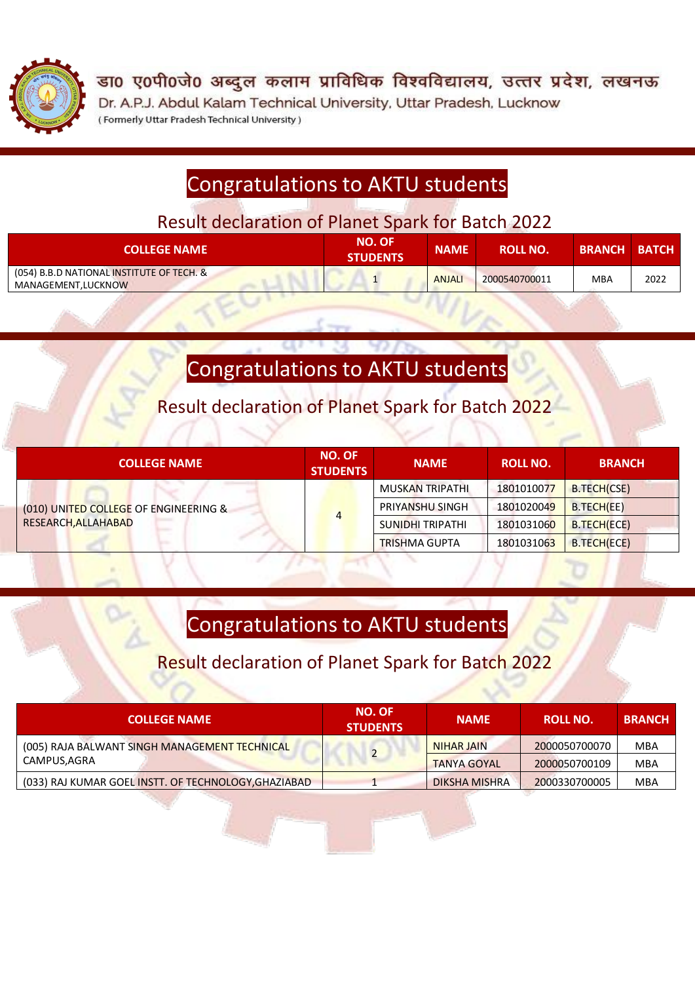

डा0 ए0पी0जे0 अब्दुल कलाम प्राविधिक विश्वविद्यालय, उत्तर प्रदेश, लखनऊ Dr. A.P.J. Abdul Kalam Technical University, Uttar Pradesh, Lucknow (Formerly Uttar Pradesh Technical University)

## Congratulations to AKTU students

Result declaration of Planet Spark for Batch 2022

| <b>COLLEGE NAME</b>                                              | <b>NO. OF</b><br><b>STUDENTS</b> | <b>NAME</b>   | <b>ROLL NO.</b> | <b>BRANCH BATCH</b> |      |
|------------------------------------------------------------------|----------------------------------|---------------|-----------------|---------------------|------|
| (054) B.B.D NATIONAL INSTITUTE OF TECH. &<br>MANAGEMENT, LUCKNOW |                                  | <b>ANJALI</b> | 2000540700011   | MBA                 | 2022 |

# Congratulations to AKTU students

Result declaration of Planet Spark for Batch 2022

| <b>COLLEGE NAME</b>                                          | <b>NO. OF</b><br><b>STUDENTS</b> | <b>NAME</b>            | <b>ROLL NO.</b> | <b>BRANCH</b> |
|--------------------------------------------------------------|----------------------------------|------------------------|-----------------|---------------|
| (010) UNITED COLLEGE OF ENGINEERING &<br>RESEARCH, ALLAHABAD | $\overline{4}$                   | MUSKAN TRIPATHI        | 1801010077      | B.TECH(CSE)   |
|                                                              |                                  | <b>PRIYANSHU SINGH</b> | 1801020049      | B.TECH(EE)    |
|                                                              |                                  | SUNIDHI TRIPATHI       | 1801031060      | B.TECH(ECE)   |
|                                                              |                                  | <b>TRISHMA GUPTA</b>   | 1801031063      | B.TECH(ECE)   |

# Congratulations to AKTU students

## Result declaration of Planet Spark for Batch 2022

| <b>COLLEGE NAME</b>                                          | <b>NO. OF</b><br><b>STUDENTS</b> | <b>NAME</b>          | ROLL NO.      | <b>BRANCH</b> |
|--------------------------------------------------------------|----------------------------------|----------------------|---------------|---------------|
| (005) RAJA BALWANT SINGH MANAGEMENT TECHNICAL<br>CAMPUS,AGRA | 2                                | NIHAR JAIN           | 2000050700070 | MBA           |
|                                                              |                                  | <b>TANYA GOYAL</b>   | 2000050700109 | MBA           |
| (033) RAJ KUMAR GOEL INSTT. OF TECHNOLOGY, GHAZIABAD         |                                  | <b>DIKSHA MISHRA</b> | 2000330700005 | <b>MBA</b>    |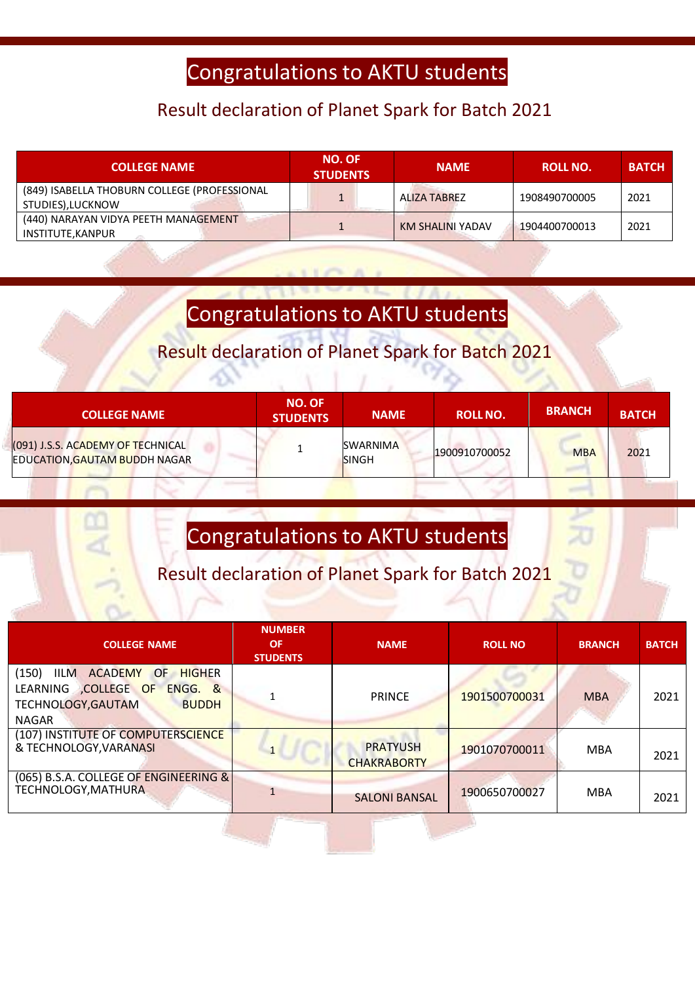## Congratulations to AKTU students

#### Result declaration of Planet Spark for Batch 2021

| <b>COLLEGE NAME</b>                                              | <b>NO. OF</b><br><b>STUDENTS</b> | <b>NAME</b>      | <b>ROLL NO.</b> | <b>BATCH</b> |
|------------------------------------------------------------------|----------------------------------|------------------|-----------------|--------------|
| (849) ISABELLA THOBURN COLLEGE (PROFESSIONAL<br>STUDIES),LUCKNOW |                                  | ALIZA TABREZ     | 1908490700005   | 2021         |
| (440) NARAYAN VIDYA PEETH MANAGEMENT<br>INSTITUTE, KANPUR        |                                  | KM SHALINI YADAV | 1904400700013   | 2021         |

# Congratulations to AKTU students

### Result declaration of Planet Spark for Batch 2021

| <b>COLLEGE NAME</b>                                                | <b>NO. OF</b><br><b>STUDENTS</b> | <b>NAME</b>                     | <b>ROLL NO.</b> | <b>BRANCH</b> | <b>BATCH</b> |
|--------------------------------------------------------------------|----------------------------------|---------------------------------|-----------------|---------------|--------------|
| (091) J.S.S. ACADEMY OF TECHNICAL<br>EDUCATION, GAUTAM BUDDH NAGAR |                                  | <b>SWARNIMA</b><br><b>SINGH</b> | 1900910700052   | <b>MBA</b>    | 2021         |

 $\sum_{i=1}^{n}$ 

# Congratulations to AKTU students

## Result declaration of Planet Spark for Batch 2021

| <b>COLLEGE NAME</b>                                                                                                                                          | <b>NUMBER</b><br><b>OF</b><br><b>STUDENTS</b> | <b>NAME</b>                           | <b>ROLL NO</b> | <b>BRANCH</b> | <b>BATCH</b> |
|--------------------------------------------------------------------------------------------------------------------------------------------------------------|-----------------------------------------------|---------------------------------------|----------------|---------------|--------------|
| (150)<br><b>ACADEMY</b><br><b>IILM</b><br><b>HIGHER</b><br><b>OF</b><br>LEARNING COLLEGE OF<br>ENGG. &<br>TECHNOLOGY, GAUTAM<br><b>BUDDH</b><br><b>NAGAR</b> |                                               | <b>PRINCE</b>                         | 1901500700031  | <b>MBA</b>    | 2021         |
| (107) INSTITUTE OF COMPUTERSCIENCE<br>& TECHNOLOGY, VARANASI                                                                                                 |                                               | <b>PRATYUSH</b><br><b>CHAKRABORTY</b> | 1901070700011  | <b>MBA</b>    | 2021         |
| (065) B.S.A. COLLEGE OF ENGINEERING &<br><b>TECHNOLOGY, MATHURA</b>                                                                                          |                                               | <b>SALONI BANSAL</b>                  | 1900650700027  | <b>MBA</b>    | 2021         |